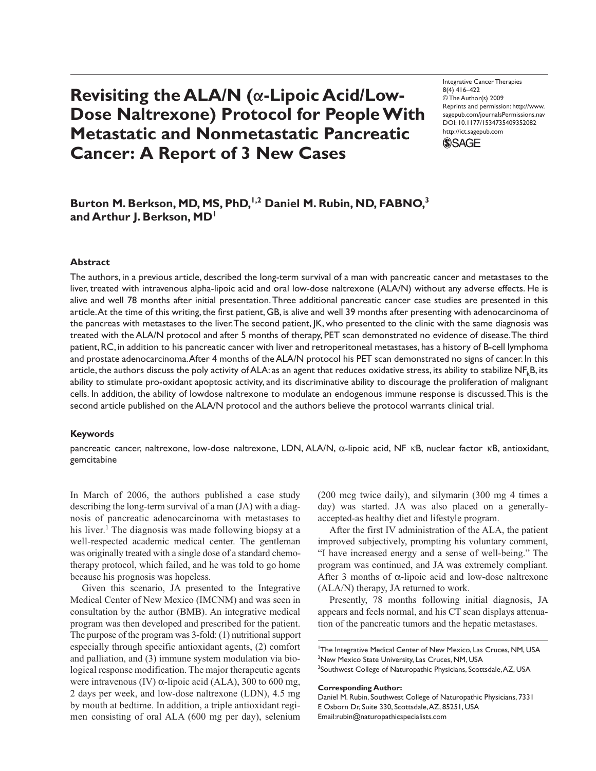# **Revisiting the ALA/N (**α**-Lipoic Acid/Low-Dose Naltrexone) Protocol for People With Metastatic and Nonmetastatic Pancreatic Cancer: A Report of 3 New Cases**

Integrative Cancer Therapies 8(4) 416–422 © The Author(s) 2009 Reprints and permission: http://www. sagepub.com/journalsPermissions.nav DOI: 10.1177/1534735409352082 http://ict.sagepub.com



## Burton M. Berkson, MD, MS, PhD, <sup>1,2</sup> Daniel M. Rubin, ND, FABNO,<sup>3</sup> **and Arthur J. Berkson, MD1**

#### **Abstract**

The authors, in a previous article, described the long-term survival of a man with pancreatic cancer and metastases to the liver, treated with intravenous alpha-lipoic acid and oral low-dose naltrexone (ALA/N) without any adverse effects. He is alive and well 78 months after initial presentation. Three additional pancreatic cancer case studies are presented in this article. At the time of this writing, the first patient, GB, is alive and well 39 months after presenting with adenocarcinoma of the pancreas with metastases to the liver. The second patient, JK, who presented to the clinic with the same diagnosis was treated with the ALA/N protocol and after 5 months of therapy, PET scan demonstrated no evidence of disease. The third patient, RC, in addition to his pancreatic cancer with liver and retroperitoneal metastases, has a history of B-cell lymphoma and prostate adenocarcinoma. After 4 months of the ALA/N protocol his PET scan demonstrated no signs of cancer. In this article, the authors discuss the poly activity of ALA: as an agent that reduces oxidative stress, its ability to stabilize  $NF_kB$ , its ability to stimulate pro-oxidant apoptosic activity, and its discriminative ability to discourage the proliferation of malignant cells. In addition, the ability of lowdose naltrexone to modulate an endogenous immune response is discussed. This is the second article published on the ALA/N protocol and the authors believe the protocol warrants clinical trial.

#### **Keywords**

pancreatic cancer, naltrexone, low-dose naltrexone, LDN, ALA/N, α-lipoic acid, NF κB, nuclear factor κB, antioxidant, gemcitabine

In March of 2006, the authors published a case study describing the long-term survival of a man (JA) with a diagnosis of pancreatic adenocarcinoma with metastases to his liver.<sup>1</sup> The diagnosis was made following biopsy at a well-respected academic medical center. The gentleman was originally treated with a single dose of a standard chemotherapy protocol, which failed, and he was told to go home because his prognosis was hopeless.

Given this scenario, JA presented to the Integrative Medical Center of New Mexico (IMCNM) and was seen in consultation by the author (BMB). An integrative medical program was then developed and prescribed for the patient. The purpose of the program was 3-fold: (1) nutritional support especially through specific antioxidant agents, (2) comfort and palliation, and (3) immune system modulation via biological response modification. The major therapeutic agents were intravenous (IV) α-lipoic acid (ALA), 300 to 600 mg, 2 days per week, and low-dose naltrexone (LDN), 4.5 mg by mouth at bedtime. In addition, a triple antioxidant regimen consisting of oral ALA (600 mg per day), selenium

(200 mcg twice daily), and silymarin (300 mg 4 times a day) was started. JA was also placed on a generallyaccepted-as healthy diet and lifestyle program.

After the first IV administration of the ALA, the patient improved subjectively, prompting his voluntary comment, "I have increased energy and a sense of well-being." The program was continued, and JA was extremely compliant. After 3 months of α-lipoic acid and low-dose naltrexone (ALA/N) therapy, JA returned to work.

Presently, 78 months following initial diagnosis, JA appears and feels normal, and his CT scan displays attenuation of the pancreatic tumors and the hepatic metastases.

<sup>1</sup>The Integrative Medical Center of New Mexico, Las Cruces, NM, USA <sup>2</sup>New Mexico State University, Las Cruces, NM, USA <sup>3</sup>Southwest College of Naturopathic Physicians, Scottsdale, AZ, USA

#### **Corresponding Author:**

Daniel M. Rubin, Southwest College of Naturopathic Physicians, 7331 E Osborn Dr, Suite 330, Scottsdale, AZ, 85251, USA Email:rubin@naturopathicspecialists.com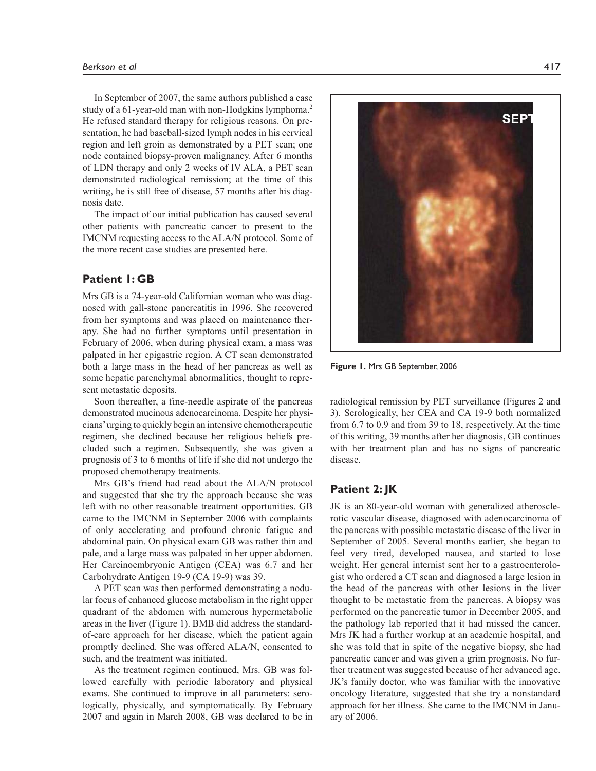In September of 2007, the same authors published a case study of a 61-year-old man with non-Hodgkins lymphoma.<sup>2</sup> He refused standard therapy for religious reasons. On presentation, he had baseball-sized lymph nodes in his cervical region and left groin as demonstrated by a PET scan; one node contained biopsy-proven malignancy. After 6 months of LDN therapy and only 2 weeks of IV ALA, a PET scan demonstrated radiological remission; at the time of this writing, he is still free of disease, 57 months after his diagnosis date.

The impact of our initial publication has caused several other patients with pancreatic cancer to present to the IMCNM requesting access to the ALA/N protocol. Some of the more recent case studies are presented here.

## **Patient 1: GB**

Mrs GB is a 74-year-old Californian woman who was diagnosed with gall-stone pancreatitis in 1996. She recovered from her symptoms and was placed on maintenance therapy. She had no further symptoms until presentation in February of 2006, when during physical exam, a mass was palpated in her epigastric region. A CT scan demonstrated both a large mass in the head of her pancreas as well as some hepatic parenchymal abnormalities, thought to represent metastatic deposits.

Soon thereafter, a fine-needle aspirate of the pancreas demonstrated mucinous adenocarcinoma. Despite her physicians' urging to quickly begin an intensive chemotherapeutic regimen, she declined because her religious beliefs precluded such a regimen. Subsequently, she was given a prognosis of 3 to 6 months of life if she did not undergo the proposed chemotherapy treatments.

Mrs GB's friend had read about the ALA/N protocol and suggested that she try the approach because she was left with no other reasonable treatment opportunities. GB came to the IMCNM in September 2006 with complaints of only accelerating and profound chronic fatigue and abdominal pain. On physical exam GB was rather thin and pale, and a large mass was palpated in her upper abdomen. Her Carcinoembryonic Antigen (CEA) was 6.7 and her Carbohydrate Antigen 19-9 (CA 19-9) was 39.

A PET scan was then performed demonstrating a nodular focus of enhanced glucose metabolism in the right upper quadrant of the abdomen with numerous hypermetabolic areas in the liver (Figure 1). BMB did address the standardof-care approach for her disease, which the patient again promptly declined. She was offered ALA/N, consented to such, and the treatment was initiated.

As the treatment regimen continued, Mrs. GB was followed carefully with periodic laboratory and physical exams. She continued to improve in all parameters: serologically, physically, and symptomatically. By February 2007 and again in March 2008, GB was declared to be in



**Figure 1.** Mrs GB September, 2006

radiological remission by PET surveillance (Figures 2 and 3). Serologically, her CEA and CA 19-9 both normalized from 6.7 to 0.9 and from 39 to 18, respectively. At the time of this writing, 39 months after her diagnosis, GB continues with her treatment plan and has no signs of pancreatic disease.

## **Patient 2: JK**

JK is an 80-year-old woman with generalized atherosclerotic vascular disease, diagnosed with adenocarcinoma of the pancreas with possible metastatic disease of the liver in September of 2005. Several months earlier, she began to feel very tired, developed nausea, and started to lose weight. Her general internist sent her to a gastroenterologist who ordered a CT scan and diagnosed a large lesion in the head of the pancreas with other lesions in the liver thought to be metastatic from the pancreas. A biopsy was performed on the pancreatic tumor in December 2005, and the pathology lab reported that it had missed the cancer. Mrs JK had a further workup at an academic hospital, and she was told that in spite of the negative biopsy, she had pancreatic cancer and was given a grim prognosis. No further treatment was suggested because of her advanced age. JK's family doctor, who was familiar with the innovative oncology literature, suggested that she try a nonstandard approach for her illness. She came to the IMCNM in January of 2006.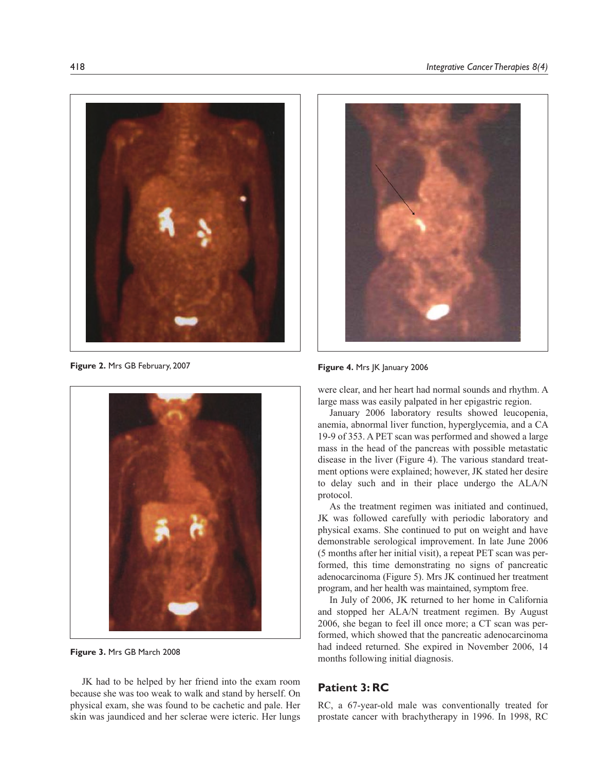

**Figure 2.** Mrs GB February, 2007



**Figure 3.** Mrs GB March 2008

JK had to be helped by her friend into the exam room because she was too weak to walk and stand by herself. On physical exam, she was found to be cachetic and pale. Her skin was jaundiced and her sclerae were icteric. Her lungs



**Figure 4.** Mrs JK January 2006

were clear, and her heart had normal sounds and rhythm. A large mass was easily palpated in her epigastric region.

January 2006 laboratory results showed leucopenia, anemia, abnormal liver function, hyperglycemia, and a CA 19-9 of 353. A PET scan was performed and showed a large mass in the head of the pancreas with possible metastatic disease in the liver (Figure 4). The various standard treatment options were explained; however, JK stated her desire to delay such and in their place undergo the ALA/N protocol.

As the treatment regimen was initiated and continued, JK was followed carefully with periodic laboratory and physical exams. She continued to put on weight and have demonstrable serological improvement. In late June 2006 (5 months after her initial visit), a repeat PET scan was performed, this time demonstrating no signs of pancreatic adenocarcinoma (Figure 5). Mrs JK continued her treatment program, and her health was maintained, symptom free.

In July of 2006, JK returned to her home in California and stopped her ALA/N treatment regimen. By August 2006, she began to feel ill once more; a CT scan was performed, which showed that the pancreatic adenocarcinoma had indeed returned. She expired in November 2006, 14 months following initial diagnosis.

## **Patient 3: RC**

RC, a 67-year-old male was conventionally treated for prostate cancer with brachytherapy in 1996. In 1998, RC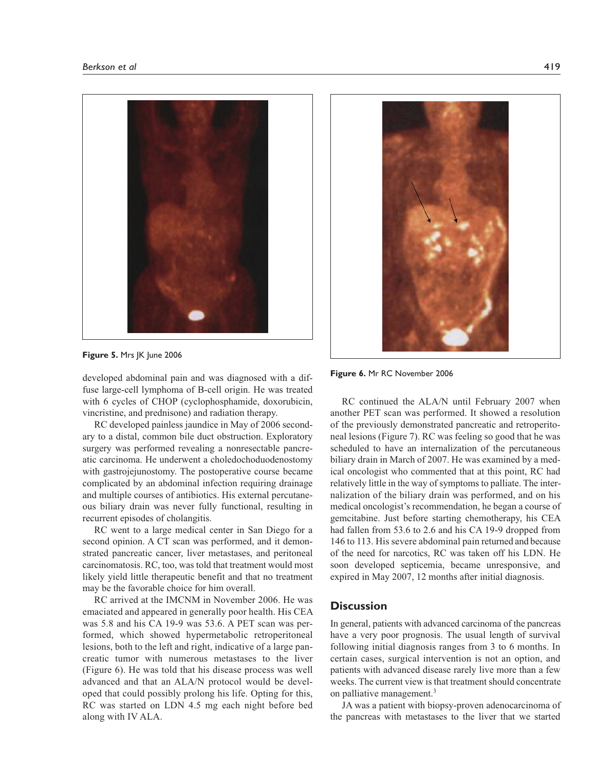

**Figure 5. Mrs |K June 2006** 

developed abdominal pain and was diagnosed with a diffuse large-cell lymphoma of B-cell origin. He was treated with 6 cycles of CHOP (cyclophosphamide, doxorubicin, vincristine, and prednisone) and radiation therapy.

RC developed painless jaundice in May of 2006 secondary to a distal, common bile duct obstruction. Exploratory surgery was performed revealing a nonresectable pancreatic carcinoma. He underwent a choledochoduodenostomy with gastrojejunostomy. The postoperative course became complicated by an abdominal infection requiring drainage and multiple courses of antibiotics. His external percutaneous biliary drain was never fully functional, resulting in recurrent episodes of cholangitis.

RC went to a large medical center in San Diego for a second opinion. A CT scan was performed, and it demonstrated pancreatic cancer, liver metastases, and peritoneal carcinomatosis. RC, too, was told that treatment would most likely yield little therapeutic benefit and that no treatment may be the favorable choice for him overall.

RC arrived at the IMCNM in November 2006. He was emaciated and appeared in generally poor health. His CEA was 5.8 and his CA 19-9 was 53.6. A PET scan was performed, which showed hypermetabolic retroperitoneal lesions, both to the left and right, indicative of a large pancreatic tumor with numerous metastases to the liver (Figure 6). He was told that his disease process was well advanced and that an ALA/N protocol would be developed that could possibly prolong his life. Opting for this, RC was started on LDN 4.5 mg each night before bed along with IV ALA.



**Figure 6.** Mr RC November 2006

RC continued the ALA/N until February 2007 when another PET scan was performed. It showed a resolution of the previously demonstrated pancreatic and retroperitoneal lesions (Figure 7). RC was feeling so good that he was scheduled to have an internalization of the percutaneous biliary drain in March of 2007. He was examined by a medical oncologist who commented that at this point, RC had relatively little in the way of symptoms to palliate. The internalization of the biliary drain was performed, and on his medical oncologist's recommendation, he began a course of gemcitabine. Just before starting chemotherapy, his CEA had fallen from 53.6 to 2.6 and his CA 19-9 dropped from 146 to 113. His severe abdominal pain returned and because of the need for narcotics, RC was taken off his LDN. He soon developed septicemia, became unresponsive, and expired in May 2007, 12 months after initial diagnosis.

## **Discussion**

In general, patients with advanced carcinoma of the pancreas have a very poor prognosis. The usual length of survival following initial diagnosis ranges from 3 to 6 months. In certain cases, surgical intervention is not an option, and patients with advanced disease rarely live more than a few weeks. The current view is that treatment should concentrate on palliative management.<sup>3</sup>

JA was a patient with biopsy-proven adenocarcinoma of the pancreas with metastases to the liver that we started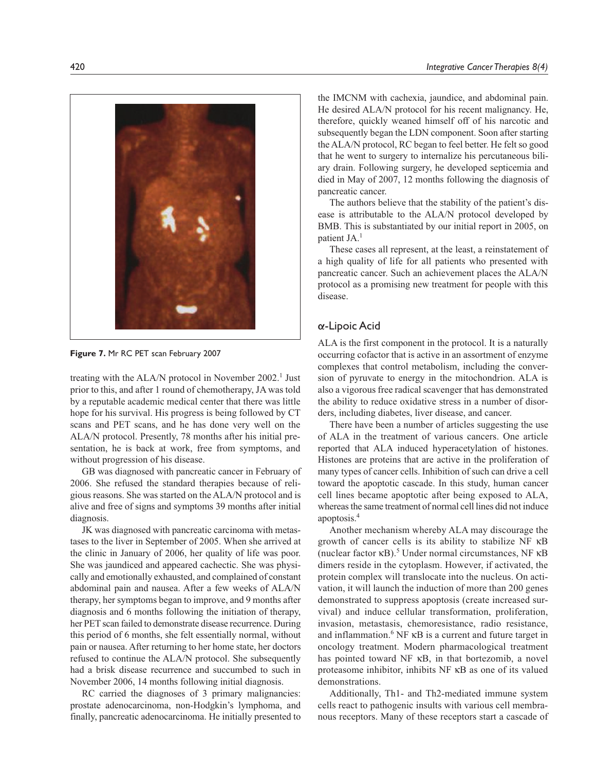

**Figure 7.** Mr RC PET scan February 2007

treating with the ALA/N protocol in November 2002.<sup>1</sup> Just prior to this, and after 1 round of chemotherapy, JA was told by a reputable academic medical center that there was little hope for his survival. His progress is being followed by CT scans and PET scans, and he has done very well on the ALA/N protocol. Presently, 78 months after his initial presentation, he is back at work, free from symptoms, and without progression of his disease.

GB was diagnosed with pancreatic cancer in February of 2006. She refused the standard therapies because of religious reasons. She was started on the ALA/N protocol and is alive and free of signs and symptoms 39 months after initial diagnosis.

JK was diagnosed with pancreatic carcinoma with metastases to the liver in September of 2005. When she arrived at the clinic in January of 2006, her quality of life was poor. She was jaundiced and appeared cachectic. She was physically and emotionally exhausted, and complained of constant abdominal pain and nausea. After a few weeks of ALA/N therapy, her symptoms began to improve, and 9 months after diagnosis and 6 months following the initiation of therapy, her PET scan failed to demonstrate disease recurrence. During this period of 6 months, she felt essentially normal, without pain or nausea. After returning to her home state, her doctors refused to continue the ALA/N protocol. She subsequently had a brisk disease recurrence and succumbed to such in November 2006, 14 months following initial diagnosis.

RC carried the diagnoses of 3 primary malignancies: prostate adenocarcinoma, non-Hodgkin's lymphoma, and finally, pancreatic adenocarcinoma. He initially presented to

the IMCNM with cachexia, jaundice, and abdominal pain. He desired ALA/N protocol for his recent malignancy. He, therefore, quickly weaned himself off of his narcotic and subsequently began the LDN component. Soon after starting the ALA/N protocol, RC began to feel better. He felt so good that he went to surgery to internalize his percutaneous biliary drain. Following surgery, he developed septicemia and died in May of 2007, 12 months following the diagnosis of pancreatic cancer.

The authors believe that the stability of the patient's disease is attributable to the ALA/N protocol developed by BMB. This is substantiated by our initial report in 2005, on patient JA.1

These cases all represent, at the least, a reinstatement of a high quality of life for all patients who presented with pancreatic cancer. Such an achievement places the ALA/N protocol as a promising new treatment for people with this disease.

## α-Lipoic Acid

ALA is the first component in the protocol. It is a naturally occurring cofactor that is active in an assortment of enzyme complexes that control metabolism, including the conversion of pyruvate to energy in the mitochondrion. ALA is also a vigorous free radical scavenger that has demonstrated the ability to reduce oxidative stress in a number of disorders, including diabetes, liver disease, and cancer.

There have been a number of articles suggesting the use of ALA in the treatment of various cancers. One article reported that ALA induced hyperacetylation of histones. Histones are proteins that are active in the proliferation of many types of cancer cells. Inhibition of such can drive a cell toward the apoptotic cascade. In this study, human cancer cell lines became apoptotic after being exposed to ALA, whereas the same treatment of normal cell lines did not induce apoptosis.4

Another mechanism whereby ALA may discourage the growth of cancer cells is its ability to stabilize NF κB (nuclear factor κB).5 Under normal circumstances, NF κB dimers reside in the cytoplasm. However, if activated, the protein complex will translocate into the nucleus. On activation, it will launch the induction of more than 200 genes demonstrated to suppress apoptosis (create increased survival) and induce cellular transformation, proliferation, invasion, metastasis, chemoresistance, radio resistance, and inflammation.<sup>6</sup> NF κB is a current and future target in oncology treatment. Modern pharmacological treatment has pointed toward NF κB, in that bortezomib, a novel proteasome inhibitor, inhibits NF κB as one of its valued demonstrations.

Additionally, Th1- and Th2-mediated immune system cells react to pathogenic insults with various cell membranous receptors. Many of these receptors start a cascade of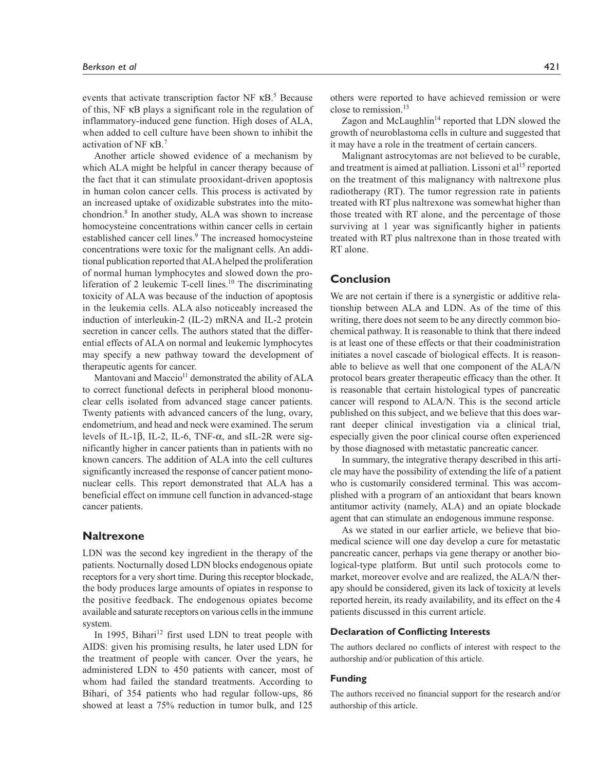events that activate transcription factor NF κB.<sup>5</sup> Because of this, NF κB plays a significant role in the regulation of inflammatory-induced gene function. High doses of ALA, when added to cell culture have been shown to inhibit the activation of NF κB.7

Another article showed evidence of a mechanism by which ALA might be helpful in cancer therapy because of the fact that it can stimulate prooxidant-driven apoptosis in human colon cancer cells. This process is activated by an increased uptake of oxidizable substrates into the mitochondrion.8 In another study, ALA was shown to increase homocysteine concentrations within cancer cells in certain established cancer cell lines.<sup>9</sup> The increased homocysteine concentrations were toxic for the malignant cells. An additional publication reported that ALA helped the proliferation of normal human lymphocytes and slowed down the proliferation of 2 leukemic T-cell lines.<sup>10</sup> The discriminating toxicity of ALA was because of the induction of apoptosis in the leukemia cells. ALA also noticeably increased the induction of interleukin-2 (IL-2) mRNA and IL-2 protein secretion in cancer cells. The authors stated that the differential effects of ALA on normal and leukemic lymphocytes may specify a new pathway toward the development of therapeutic agents for cancer.

Mantovani and Maccio<sup>11</sup> demonstrated the ability of ALA to correct functional defects in peripheral blood mononuclear cells isolated from advanced stage cancer patients. Twenty patients with advanced cancers of the lung, ovary, endometrium, and head and neck were examined. The serum levels of IL-1β, IL-2, IL-6, TNF-α, and sIL-2R were significantly higher in cancer patients than in patients with no known cancers. The addition of ALA into the cell cultures significantly increased the response of cancer patient mononuclear cells. This report demonstrated that ALA has a beneficial effect on immune cell function in advanced-stage cancer patients.

#### **Naltrexone**

LDN was the second key ingredient in the therapy of the patients. Nocturnally dosed LDN blocks endogenous opiate receptors for a very short time. During this receptor blockade, the body produces large amounts of opiates in response to the positive feedback. The endogenous opiates become available and saturate receptors on various cells in the immune system.

In 1995, Bihari<sup>12</sup> first used LDN to treat people with AIDS: given his promising results, he later used LDN for the treatment of people with cancer. Over the years, he administered LDN to 450 patients with cancer, most of whom had failed the standard treatments. According to Bihari, of 354 patients who had regular follow-ups, 86 showed at least a 75% reduction in tumor bulk, and 125

others were reported to have achieved remission or were close to remission.<sup>13</sup>

Zagon and McLaughlin $14$  reported that LDN slowed the growth of neuroblastoma cells in culture and suggested that it may have a role in the treatment of certain cancers.

Malignant astrocytomas are not believed to be curable, and treatment is aimed at palliation. Lissoni et  $al<sup>15</sup>$  reported on the treatment of this malignancy with naltrexone plus radiotherapy (RT). The tumor regression rate in patients treated with RT plus naltrexone was somewhat higher than those treated with RT alone, and the percentage of those surviving at 1 year was significantly higher in patients treated with RT plus naltrexone than in those treated with RT alone.

## **Conclusion**

We are not certain if there is a synergistic or additive relationship between ALA and LDN. As of the time of this writing, there does not seem to be any directly common biochemical pathway. It is reasonable to think that there indeed is at least one of these effects or that their coadministration initiates a novel cascade of biological effects. It is reasonable to believe as well that one component of the ALA/N protocol bears greater therapeutic efficacy than the other. It is reasonable that certain histological types of pancreatic cancer will respond to ALA/N. This is the second article published on this subject, and we believe that this does warrant deeper clinical investigation via a clinical trial, especially given the poor clinical course often experienced by those diagnosed with metastatic pancreatic cancer.

In summary, the integrative therapy described in this article may have the possibility of extending the life of a patient who is customarily considered terminal. This was accomplished with a program of an antioxidant that bears known antitumor activity (namely, ALA) and an opiate blockade agent that can stimulate an endogenous immune response.

As we stated in our earlier article, we believe that biomedical science will one day develop a cure for metastatic pancreatic cancer, perhaps via gene therapy or another biological-type platform. But until such protocols come to market, moreover evolve and are realized, the ALA/N therapy should be considered, given its lack of toxicity at levels reported herein, its ready availability, and its effect on the 4 patients discussed in this current article.

### **Declaration of Conflicting Interests**

The authors declared no conflicts of interest with respect to the authorship and/or publication of this article.

#### **Funding**

The authors received no financial support for the research and/or authorship of this article.